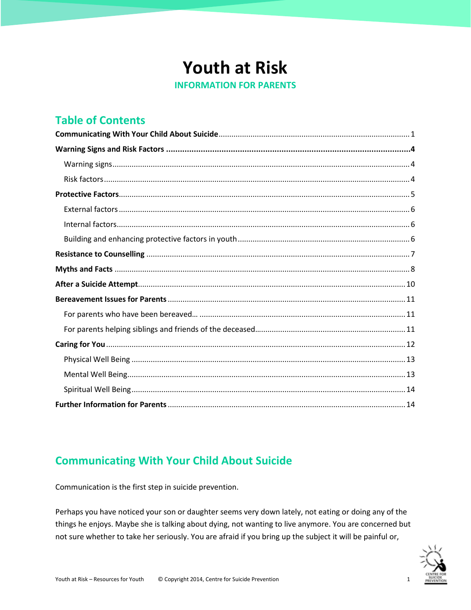# **Youth at Risk**

**INFORMATION FOR PARENTS** 

## **Table of Contents**

## <span id="page-0-0"></span>**Communicating With Your Child About Suicide**

Communication is the first step in suicide prevention.

Perhaps you have noticed your son or daughter seems very down lately, not eating or doing any of the things he enjoys. Maybe she is talking about dying, not wanting to live anymore. You are concerned but not sure whether to take her seriously. You are afraid if you bring up the subject it will be painful or,

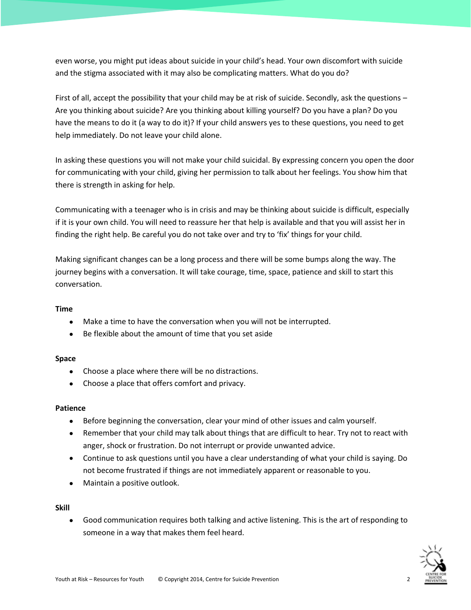even worse, you might put ideas about suicide in your child's head. Your own discomfort with suicide and the stigma associated with it may also be complicating matters. What do you do?

First of all, accept the possibility that your child may be at risk of suicide. Secondly, ask the questions – Are you thinking about suicide? Are you thinking about killing yourself? Do you have a plan? Do you have the means to do it (a way to do it)? If your child answers yes to these questions, you need to get help immediately. Do not leave your child alone.

In asking these questions you will not make your child suicidal. By expressing concern you open the door for communicating with your child, giving her permission to talk about her feelings. You show him that there is strength in asking for help.

Communicating with a teenager who is in crisis and may be thinking about suicide is difficult, especially if it is your own child. You will need to reassure her that help is available and that you will assist her in finding the right help. Be careful you do not take over and try to 'fix' things for your child.

Making significant changes can be a long process and there will be some bumps along the way. The journey begins with a conversation. It will take courage, time, space, patience and skill to start this conversation.

## **Time**

- Make a time to have the conversation when you will not be interrupted.
- Be flexible about the amount of time that you set aside

## **Space**

- Choose a place where there will be no distractions.
- Choose a place that offers comfort and privacy.

## **Patience**

- Before beginning the conversation, clear your mind of other issues and calm yourself.
- Remember that your child may talk about things that are difficult to hear. Try not to react with anger, shock or frustration. Do not interrupt or provide unwanted advice.
- Continue to ask questions until you have a clear understanding of what your child is saying. Do not become frustrated if things are not immediately apparent or reasonable to you.
- Maintain a positive outlook.

**Skill**

 Good communication requires both talking and active listening. This is the art of responding to someone in a way that makes them feel heard.

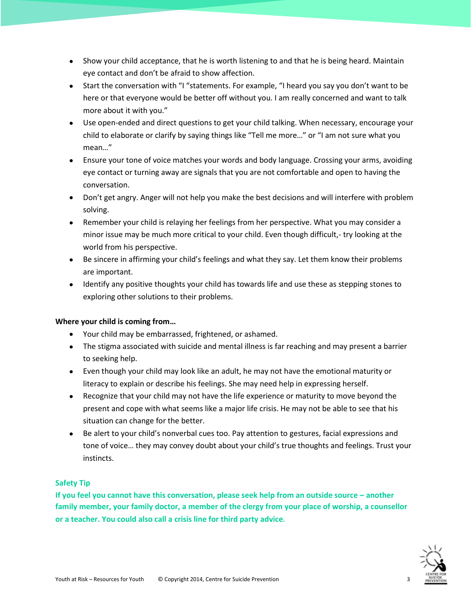- Show your child acceptance, that he is worth listening to and that he is being heard. Maintain eye contact and don't be afraid to show affection.
- Start the conversation with "I "statements. For example, "I heard you say you don't want to be here or that everyone would be better off without you. I am really concerned and want to talk more about it with you."
- Use open-ended and direct questions to get your child talking. When necessary, encourage your child to elaborate or clarify by saying things like "Tell me more…" or "I am not sure what you mean…"
- Ensure your tone of voice matches your words and body language. Crossing your arms, avoiding eye contact or turning away are signals that you are not comfortable and open to having the conversation.
- Don't get angry. Anger will not help you make the best decisions and will interfere with problem solving.
- Remember your child is relaying her feelings from her perspective. What you may consider a minor issue may be much more critical to your child. Even though difficult,- try looking at the world from his perspective.
- Be sincere in affirming your child's feelings and what they say. Let them know their problems are important.
- Identify any positive thoughts your child has towards life and use these as stepping stones to exploring other solutions to their problems.

## **Where your child is coming from…**

- Your child may be embarrassed, frightened, or ashamed.
- The stigma associated with suicide and mental illness is far reaching and may present a barrier to seeking help.
- Even though your child may look like an adult, he may not have the emotional maturity or literacy to explain or describe his feelings. She may need help in expressing herself.
- Recognize that your child may not have the life experience or maturity to move beyond the present and cope with what seems like a major life crisis. He may not be able to see that his situation can change for the better.
- Be alert to your child's nonverbal cues too. Pay attention to gestures, facial expressions and tone of voice… they may convey doubt about your child's true thoughts and feelings. Trust your instincts.

## **Safety Tip**

**If you feel you cannot have this conversation, please seek help from an outside source – another family member, your family doctor, a member of the clergy from your place of worship, a counsellor or a teacher. You could also call a crisis line for third party advice***.*

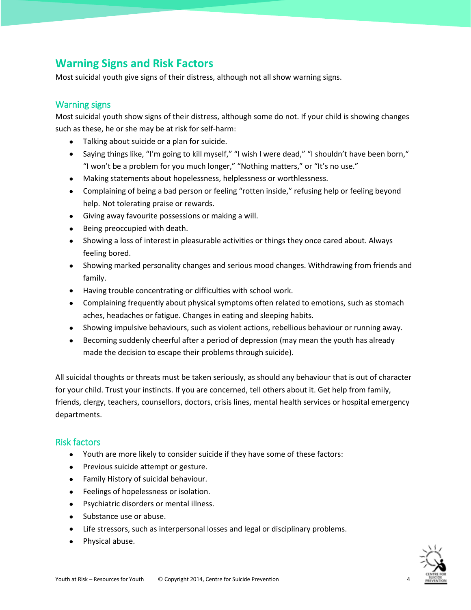## <span id="page-3-0"></span>**Warning Signs and Risk Factors**

Most suicidal youth give signs of their distress, although not all show warning signs.

## <span id="page-3-1"></span>Warning signs

Most suicidal youth show signs of their distress, although some do not. If your child is showing changes such as these, he or she may be at risk for self-harm:

- Talking about suicide or a plan for suicide.
- Saying things like, "I'm going to kill myself," "I wish I were dead," "I shouldn't have been born," "I won't be a problem for you much longer," "Nothing matters," or "It's no use."
- Making statements about hopelessness, helplessness or worthlessness.
- Complaining of being a bad person or feeling "rotten inside," refusing help or feeling beyond help. Not tolerating praise or rewards.
- Giving away favourite possessions or making a will.
- Being preoccupied with death.
- Showing a loss of interest in pleasurable activities or things they once cared about. Always feeling bored.
- Showing marked personality changes and serious mood changes. Withdrawing from friends and family.
- Having trouble concentrating or difficulties with school work.
- Complaining frequently about physical symptoms often related to emotions, such as stomach aches, headaches or fatigue. Changes in eating and sleeping habits.
- Showing impulsive behaviours, such as violent actions, rebellious behaviour or running away.
- Becoming suddenly cheerful after a period of depression (may mean the youth has already made the decision to escape their problems through suicide).

All suicidal thoughts or threats must be taken seriously, as should any behaviour that is out of character for your child. Trust your instincts. If you are concerned, tell others about it. Get help from family, friends, clergy, teachers, counsellors, doctors, crisis lines, mental health services or hospital emergency departments.

## <span id="page-3-2"></span>Risk factors

- Youth are more likely to consider suicide if they have some of these factors:
- Previous suicide attempt or gesture.
- Family History of suicidal behaviour.
- Feelings of hopelessness or isolation.
- Psychiatric disorders or mental illness.
- Substance use or abuse.
- Life stressors, such as interpersonal losses and legal or disciplinary problems.
- Physical abuse.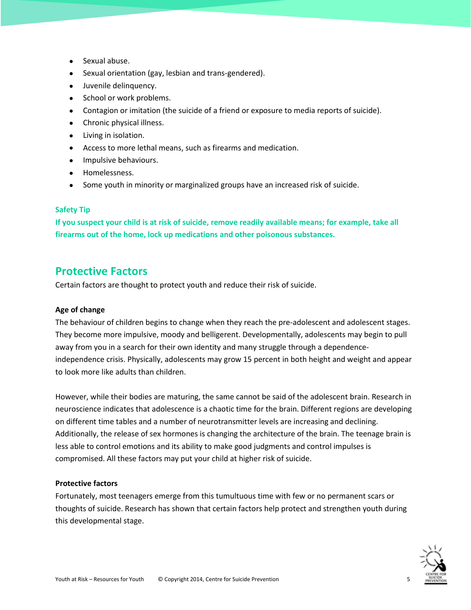- Sexual abuse.
- Sexual orientation (gay, lesbian and trans-gendered).
- Juvenile delinquency.
- School or work problems.
- Contagion or imitation (the suicide of a friend or exposure to media reports of suicide).
- Chronic physical illness.
- Living in isolation.
- Access to more lethal means, such as firearms and medication.
- **•** Impulsive behaviours.
- Homelessness.
- Some youth in minority or marginalized groups have an increased risk of suicide.

## **Safety Tip**

**If you suspect your child is at risk of suicide, remove readily available means; for example, take all firearms out of the home, lock up medications and other poisonous substances.**

## <span id="page-4-0"></span>**Protective Factors**

Certain factors are thought to protect youth and reduce their risk of suicide.

## **Age of change**

The behaviour of children begins to change when they reach the pre-adolescent and adolescent stages. They become more impulsive, moody and belligerent. Developmentally, adolescents may begin to pull away from you in a search for their own identity and many struggle through a dependenceindependence crisis. Physically, adolescents may grow 15 percent in both height and weight and appear to look more like adults than children.

However, while their bodies are maturing, the same cannot be said of the adolescent brain. Research in neuroscience indicates that adolescence is a chaotic time for the brain. Different regions are developing on different time tables and a number of neurotransmitter levels are increasing and declining. Additionally, the release of sex hormones is changing the architecture of the brain. The teenage brain is less able to control emotions and its ability to make good judgments and control impulses is compromised. All these factors may put your child at higher risk of suicide.

#### **Protective factors**

Fortunately, most teenagers emerge from this tumultuous time with few or no permanent scars or thoughts of suicide. Research has shown that certain factors help protect and strengthen youth during this developmental stage.

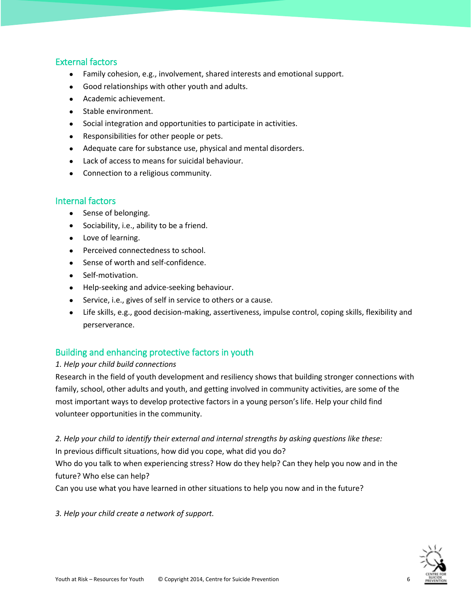## <span id="page-5-0"></span>External factors

- Family cohesion, e.g., involvement, shared interests and emotional support.
- Good relationships with other youth and adults.
- Academic achievement.
- Stable environment.
- Social integration and opportunities to participate in activities.
- Responsibilities for other people or pets.
- Adequate care for substance use, physical and mental disorders.
- Lack of access to means for suicidal behaviour.
- Connection to a religious community.

## <span id="page-5-1"></span>Internal factors

- Sense of belonging.
- Sociability, i.e., ability to be a friend.
- Love of learning.
- Perceived connectedness to school.
- Sense of worth and self-confidence.
- Self-motivation.
- Help-seeking and advice-seeking behaviour.
- Service, i.e., gives of self in service to others or a cause.
- Life skills, e.g., good decision-making, assertiveness, impulse control, coping skills, flexibility and perserverance.

## <span id="page-5-2"></span>Building and enhancing protective factors in youth

## *1. Help your child build connections*

Research in the field of youth development and resiliency shows that building stronger connections with family, school, other adults and youth, and getting involved in community activities, are some of the most important ways to develop protective factors in a young person's life. Help your child find volunteer opportunities in the community.

*2. Help your child to identify their external and internal strengths by asking questions like these:*

In previous difficult situations, how did you cope, what did you do?

Who do you talk to when experiencing stress? How do they help? Can they help you now and in the future? Who else can help?

Can you use what you have learned in other situations to help you now and in the future?

*3. Help your child create a network of support.*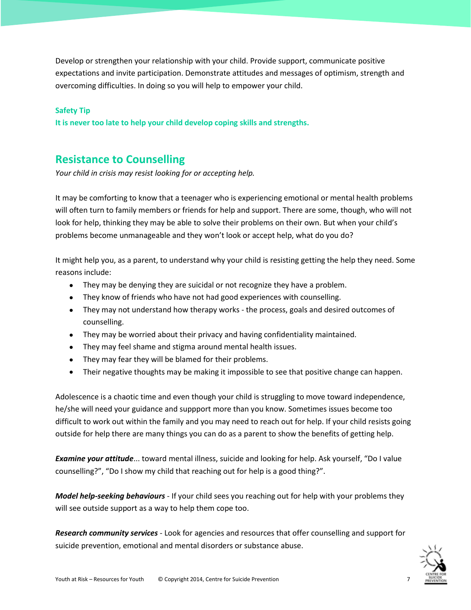Develop or strengthen your relationship with your child. Provide support, communicate positive expectations and invite participation. Demonstrate attitudes and messages of optimism, strength and overcoming difficulties. In doing so you will help to empower your child.

#### **Safety Tip**

**It is never too late to help your child develop coping skills and strengths.**

## <span id="page-6-0"></span>**Resistance to Counselling**

*Your child in crisis may resist looking for or accepting help.*

It may be comforting to know that a teenager who is experiencing emotional or mental health problems will often turn to family members or friends for help and support. There are some, though, who will not look for help, thinking they may be able to solve their problems on their own. But when your child's problems become unmanageable and they won't look or accept help, what do you do?

It might help you, as a parent, to understand why your child is resisting getting the help they need. Some reasons include:

- They may be denying they are suicidal or not recognize they have a problem.
- They know of friends who have not had good experiences with counselling.
- They may not understand how therapy works the process, goals and desired outcomes of counselling.
- They may be worried about their privacy and having confidentiality maintained.
- They may feel shame and stigma around mental health issues.
- They may fear they will be blamed for their problems.
- Their negative thoughts may be making it impossible to see that positive change can happen.

Adolescence is a chaotic time and even though your child is struggling to move toward independence, he/she will need your guidance and suppport more than you know. Sometimes issues become too difficult to work out within the family and you may need to reach out for help. If your child resists going outside for help there are many things you can do as a parent to show the benefits of getting help.

*Examine your attitude*... toward mental illness, suicide and looking for help. Ask yourself, "Do I value counselling?", "Do I show my child that reaching out for help is a good thing?".

*Model help-seeking behaviours* - If your child sees you reaching out for help with your problems they will see outside support as a way to help them cope too.

*Research community services* - Look for agencies and resources that offer counselling and support for suicide prevention, emotional and mental disorders or substance abuse.

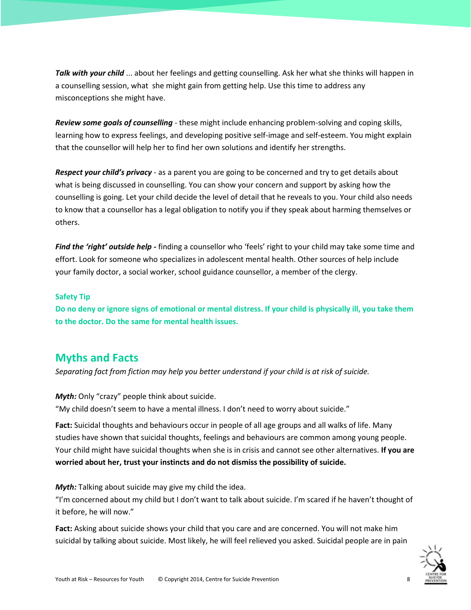*Talk with your child* ... about her feelings and getting counselling. Ask her what she thinks will happen in a counselling session, what she might gain from getting help. Use this time to address any misconceptions she might have.

*Review some goals of counselling* - these might include enhancing problem-solving and coping skills, learning how to express feelings, and developing positive self-image and self-esteem. You might explain that the counsellor will help her to find her own solutions and identify her strengths.

*Respect your child's privacy* - as a parent you are going to be concerned and try to get details about what is being discussed in counselling. You can show your concern and support by asking how the counselling is going. Let your child decide the level of detail that he reveals to you. Your child also needs to know that a counsellor has a legal obligation to notify you if they speak about harming themselves or others.

*Find the 'right' outside help -* finding a counsellor who 'feels' right to your child may take some time and effort. Look for someone who specializes in adolescent mental health. Other sources of help include your family doctor, a social worker, school guidance counsellor, a member of the clergy.

#### **Safety Tip**

**Do no deny or ignore signs of emotional or mental distress. If your child is physically ill, you take them to the doctor. Do the same for mental health issues.**

## <span id="page-7-0"></span>**Myths and Facts**

*Separating fact from fiction may help you better understand if your child is at risk of suicide.*

*Myth:* Only "crazy" people think about suicide. "My child doesn't seem to have a mental illness. I don't need to worry about suicide."

**Fact:** Suicidal thoughts and behaviours occur in people of all age groups and all walks of life. Many studies have shown that suicidal thoughts, feelings and behaviours are common among young people. Your child might have suicidal thoughts when she is in crisis and cannot see other alternatives. **If you are worried about her, trust your instincts and do not dismiss the possibility of suicide.**

*Myth:* Talking about suicide may give my child the idea.

"I'm concerned about my child but I don't want to talk about suicide. I'm scared if he haven't thought of it before, he will now."

**Fact:** Asking about suicide shows your child that you care and are concerned. You will not make him suicidal by talking about suicide. Most likely, he will feel relieved you asked. Suicidal people are in pain

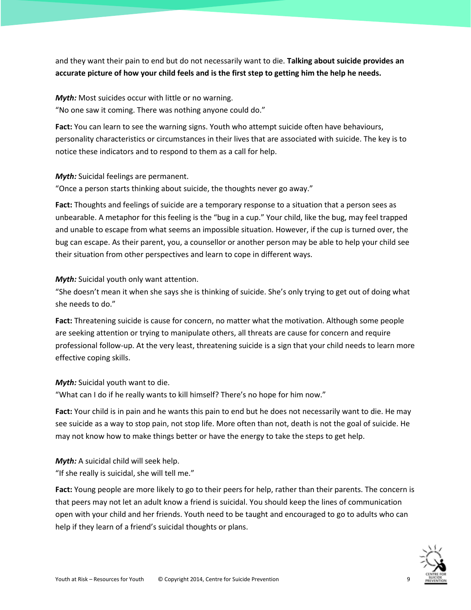and they want their pain to end but do not necessarily want to die. **Talking about suicide provides an accurate picture of how your child feels and is the first step to getting him the help he needs.**

*Myth:* Most suicides occur with little or no warning. "No one saw it coming. There was nothing anyone could do."

**Fact:** You can learn to see the warning signs. Youth who attempt suicide often have behaviours, personality characteristics or circumstances in their lives that are associated with suicide. The key is to notice these indicators and to respond to them as a call for help.

*Myth:* Suicidal feelings are permanent.

"Once a person starts thinking about suicide, the thoughts never go away."

**Fact:** Thoughts and feelings of suicide are a temporary response to a situation that a person sees as unbearable. A metaphor for this feeling is the "bug in a cup." Your child, like the bug, may feel trapped and unable to escape from what seems an impossible situation. However, if the cup is turned over, the bug can escape. As their parent, you, a counsellor or another person may be able to help your child see their situation from other perspectives and learn to cope in different ways.

*Myth:* Suicidal youth only want attention.

"She doesn't mean it when she says she is thinking of suicide. She's only trying to get out of doing what she needs to do."

**Fact:** Threatening suicide is cause for concern, no matter what the motivation. Although some people are seeking attention or trying to manipulate others, all threats are cause for concern and require professional follow-up. At the very least, threatening suicide is a sign that your child needs to learn more effective coping skills.

*Myth:* Suicidal youth want to die.

"What can I do if he really wants to kill himself? There's no hope for him now."

**Fact:** Your child is in pain and he wants this pain to end but he does not necessarily want to die. He may see suicide as a way to stop pain, not stop life. More often than not, death is not the goal of suicide. He may not know how to make things better or have the energy to take the steps to get help.

*Myth:* A suicidal child will seek help. "If she really is suicidal, she will tell me."

**Fact:** Young people are more likely to go to their peers for help, rather than their parents. The concern is that peers may not let an adult know a friend is suicidal. You should keep the lines of communication open with your child and her friends. Youth need to be taught and encouraged to go to adults who can help if they learn of a friend's suicidal thoughts or plans.

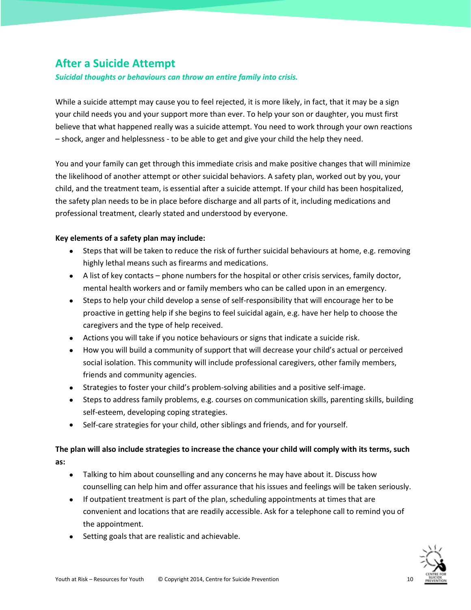## <span id="page-9-0"></span>**After a Suicide Attempt**

*Suicidal thoughts or behaviours can throw an entire family into crisis.*

While a suicide attempt may cause you to feel rejected, it is more likely, in fact, that it may be a sign your child needs you and your support more than ever. To help your son or daughter, you must first believe that what happened really was a suicide attempt. You need to work through your own reactions – shock, anger and helplessness - to be able to get and give your child the help they need.

You and your family can get through this immediate crisis and make positive changes that will minimize the likelihood of another attempt or other suicidal behaviors. A safety plan, worked out by you, your child, and the treatment team, is essential after a suicide attempt. If your child has been hospitalized, the safety plan needs to be in place before discharge and all parts of it, including medications and professional treatment, clearly stated and understood by everyone.

## **Key elements of a safety plan may include:**

- Steps that will be taken to reduce the risk of further suicidal behaviours at home, e.g. removing highly lethal means such as firearms and medications.
- A list of key contacts phone numbers for the hospital or other crisis services, family doctor, mental health workers and or family members who can be called upon in an emergency.
- Steps to help your child develop a sense of self-responsibility that will encourage her to be proactive in getting help if she begins to feel suicidal again, e.g. have her help to choose the caregivers and the type of help received.
- Actions you will take if you notice behaviours or signs that indicate a suicide risk.
- How you will build a community of support that will decrease your child's actual or perceived social isolation. This community will include professional caregivers, other family members, friends and community agencies.
- Strategies to foster your child's problem-solving abilities and a positive self-image.
- Steps to address family problems, e.g. courses on communication skills, parenting skills, building self-esteem, developing coping strategies.
- Self-care strategies for your child, other siblings and friends, and for yourself.

## **The plan will also include strategies to increase the chance your child will comply with its terms, such as:**

- Talking to him about counselling and any concerns he may have about it. Discuss how counselling can help him and offer assurance that his issues and feelings will be taken seriously.
- If outpatient treatment is part of the plan, scheduling appointments at times that are convenient and locations that are readily accessible. Ask for a telephone call to remind you of the appointment.
- Setting goals that are realistic and achievable.

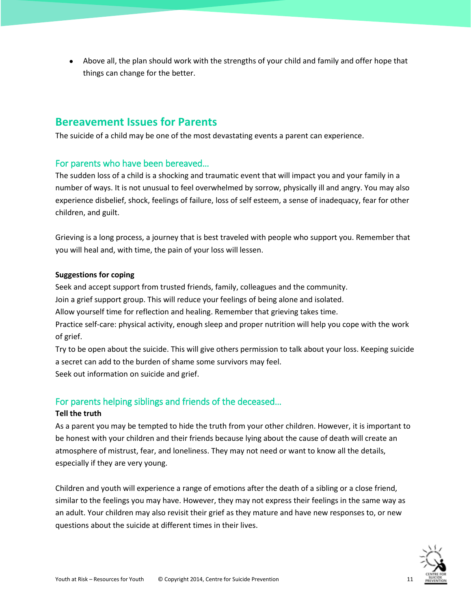Above all, the plan should work with the strengths of your child and family and offer hope that things can change for the better.

## <span id="page-10-0"></span>**Bereavement Issues for Parents**

The suicide of a child may be one of the most devastating events a parent can experience.

## <span id="page-10-1"></span>For parents who have been bereaved…

The sudden loss of a child is a shocking and traumatic event that will impact you and your family in a number of ways. It is not unusual to feel overwhelmed by sorrow, physically ill and angry. You may also experience disbelief, shock, feelings of failure, loss of self esteem, a sense of inadequacy, fear for other children, and guilt.

Grieving is a long process, a journey that is best traveled with people who support you. Remember that you will heal and, with time, the pain of your loss will lessen.

## **Suggestions for coping**

Seek and accept support from trusted friends, family, colleagues and the community.

Join a grief support group. This will reduce your feelings of being alone and isolated.

Allow yourself time for reflection and healing. Remember that grieving takes time.

Practice self-care: physical activity, enough sleep and proper nutrition will help you cope with the work of grief.

Try to be open about the suicide. This will give others permission to talk about your loss. Keeping suicide a secret can add to the burden of shame some survivors may feel. Seek out information on suicide and grief.

## <span id="page-10-2"></span>For parents helping siblings and friends of the deceased…

## **Tell the truth**

As a parent you may be tempted to hide the truth from your other children. However, it is important to be honest with your children and their friends because lying about the cause of death will create an atmosphere of mistrust, fear, and loneliness. They may not need or want to know all the details, especially if they are very young.

Children and youth will experience a range of emotions after the death of a sibling or a close friend, similar to the feelings you may have. However, they may not express their feelings in the same way as an adult. Your children may also revisit their grief as they mature and have new responses to, or new questions about the suicide at different times in their lives.

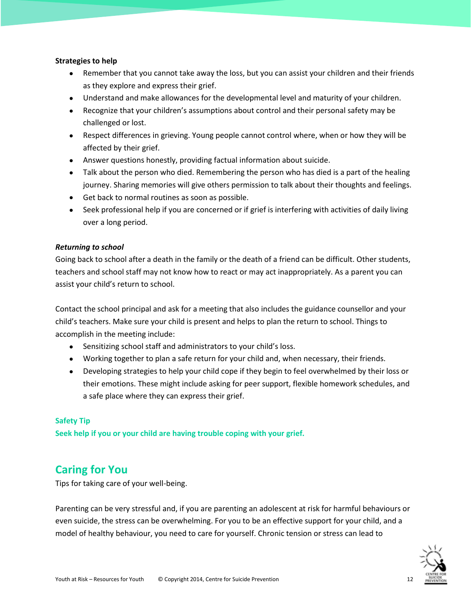#### **Strategies to help**

- Remember that you cannot take away the loss, but you can assist your children and their friends as they explore and express their grief.
- Understand and make allowances for the developmental level and maturity of your children.
- Recognize that your children's assumptions about control and their personal safety may be challenged or lost.
- Respect differences in grieving. Young people cannot control where, when or how they will be affected by their grief.
- Answer questions honestly, providing factual information about suicide.
- Talk about the person who died. Remembering the person who has died is a part of the healing journey. Sharing memories will give others permission to talk about their thoughts and feelings.
- Get back to normal routines as soon as possible.
- Seek professional help if you are concerned or if grief is interfering with activities of daily living over a long period.

#### *Returning to school*

Going back to school after a death in the family or the death of a friend can be difficult. Other students, teachers and school staff may not know how to react or may act inappropriately. As a parent you can assist your child's return to school.

Contact the school principal and ask for a meeting that also includes the guidance counsellor and your child's teachers. Make sure your child is present and helps to plan the return to school. Things to accomplish in the meeting include:

- Sensitizing school staff and administrators to your child's loss.
- Working together to plan a safe return for your child and, when necessary, their friends.
- Developing strategies to help your child cope if they begin to feel overwhelmed by their loss or their emotions. These might include asking for peer support, flexible homework schedules, and a safe place where they can express their grief.

## **Safety Tip**

**Seek help if you or your child are having trouble coping with your grief.**

## <span id="page-11-0"></span>**Caring for You**

Tips for taking care of your well-being.

Parenting can be very stressful and, if you are parenting an adolescent at risk for harmful behaviours or even suicide, the stress can be overwhelming. For you to be an effective support for your child, and a model of healthy behaviour, you need to care for yourself. Chronic tension or stress can lead to

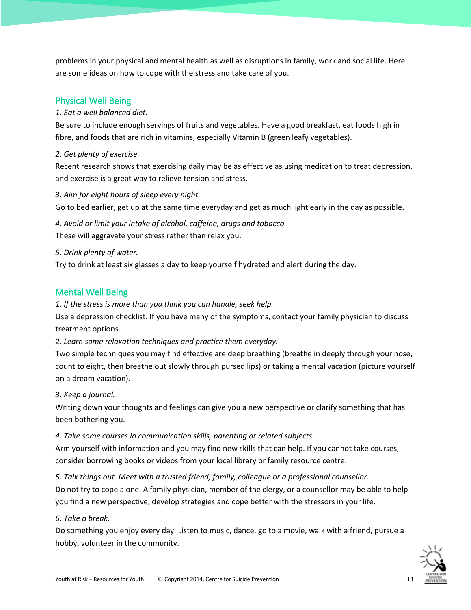problems in your physical and mental health as well as disruptions in family, work and social life. Here are some ideas on how to cope with the stress and take care of you.

## <span id="page-12-0"></span>Physical Well Being

#### *1. Eat a well balanced diet.*

Be sure to include enough servings of fruits and vegetables. Have a good breakfast, eat foods high in fibre, and foods that are rich in vitamins, especially Vitamin B (green leafy vegetables).

#### *2. Get plenty of exercise.*

Recent research shows that exercising daily may be as effective as using medication to treat depression, and exercise is a great way to relieve tension and stress.

#### *3. Aim for eight hours of sleep every night.*

Go to bed earlier, get up at the same time everyday and get as much light early in the day as possible.

*4. Avoid or limit your intake of alcohol, caffeine, drugs and tobacco.* These will aggravate your stress rather than relax you.

#### *5. Drink plenty of water.*

Try to drink at least six glasses a day to keep yourself hydrated and alert during the day.

## <span id="page-12-1"></span>Mental Well Being

*1. If the stress is more than you think you can handle, seek help.*

Use a depression checklist. If you have many of the symptoms, contact your family physician to discuss treatment options.

*2. Learn some relaxation techniques and practice them everyday.*

Two simple techniques you may find effective are deep breathing (breathe in deeply through your nose, count to eight, then breathe out slowly through pursed lips) or taking a mental vacation (picture yourself on a dream vacation).

## *3. Keep a journal.*

Writing down your thoughts and feelings can give you a new perspective or clarify something that has been bothering you.

#### *4. Take some courses in communication skills, parenting or related subjects.*

Arm yourself with information and you may find new skills that can help. If you cannot take courses, consider borrowing books or videos from your local library or family resource centre.

## *5. Talk things out. Meet with a trusted friend, family, colleague or a professional counsellor.*

Do not try to cope alone. A family physician, member of the clergy, or a counsellor may be able to help you find a new perspective, develop strategies and cope better with the stressors in your life.

## *6. Take a break.*

Do something you enjoy every day. Listen to music, dance, go to a movie, walk with a friend, pursue a hobby, volunteer in the community.

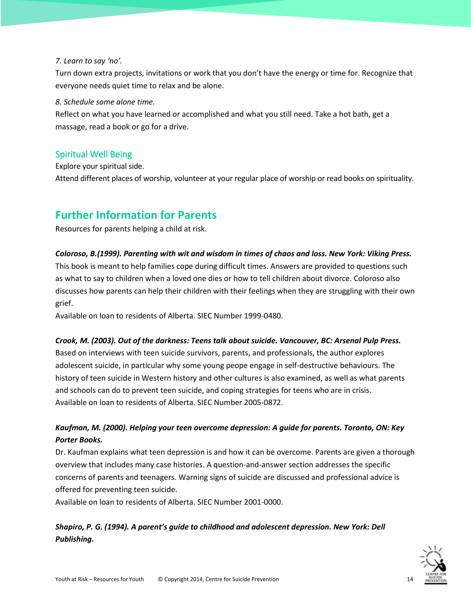## *7. Learn to say 'no'.*

Turn down extra projects, invitations or work that you don't have the energy or time for. Recognize that everyone needs quiet time to relax and be alone.

#### *8. Schedule some alone time.*

Reflect on what you have learned or accomplished and what you still need. Take a hot bath, get a massage, read a book or go for a drive.

## <span id="page-13-0"></span>Spiritual Well Being

Explore your spiritual side. Attend different places of worship, volunteer at your regular place of worship or read books on spirituality.

## <span id="page-13-1"></span>**Further Information for Parents**

Resources for parents helping a child at risk.

#### *Coloroso, B.(1999). Parenting with wit and wisdom in times of chaos and loss. New York: Viking Press.*

This book is meant to help families cope during difficult times. Answers are provided to questions such as what to say to children when a loved one dies or how to tell children about divorce. Coloroso also discusses how parents can help their children with their feelings when they are struggling with their own grief.

Available on loan to residents of Alberta. SIEC Number 1999-0480.

## *Crook, M. (2003). Out of the darkness: Teens talk about suicide. Vancouver, BC: Arsenal Pulp Press.*

Based on interviews with teen suicide survivors, parents, and professionals, the author explores adolescent suicide, in particular why some young peope engage in self-destructive behaviours. The history of teen suicide in Western history and other cultures is also examined, as well as what parents and schools can do to prevent teen suicide, and coping strategies for teens who are in crisis. Available on loan to residents of Alberta. SIEC Number 2005-0872.

## *Kaufman, M. (2000). Helping your teen overcome depression: A guide for parents. Toronto, ON: Key Porter Books.*

Dr. Kaufman explains what teen depression is and how it can be overcome. Parents are given a thorough overview that includes many case histories. A question-and-answer section addresses the specific concerns of parents and teenagers. Warning signs of suicide are discussed and professional advice is offered for preventing teen suicide.

Available on loan to residents of Alberta. SIEC Number 2001-0000.

## *Shapiro, P. G. (1994). A parent's guide to childhood and adolescent depression. New York: Dell Publishing.*